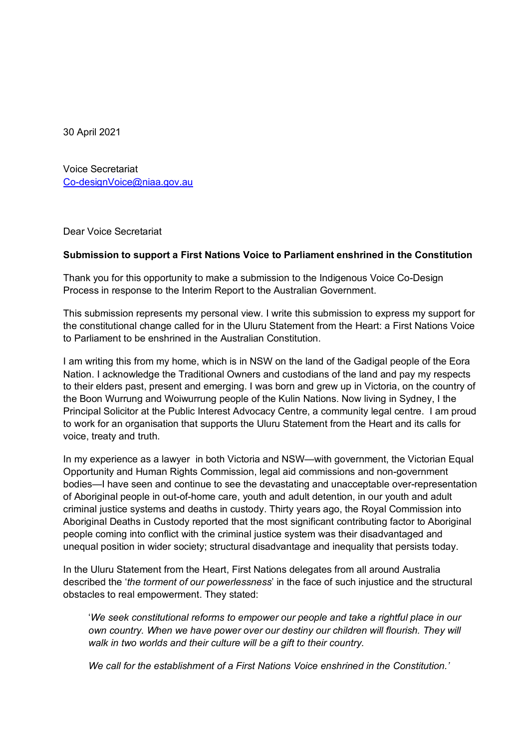30 April 2021

 Voice Secretariat <u>Co-designVoice@niaa.gov.au</u><br>Dear Voice Secretariat

Dear Voice Secretariat

## **Submission to support a First Nations Voice to Parliament enshrined in the Constitution**

 Thank you for this opportunity to make a submission to the Indigenous Voice Co-Design Process in response to the Interim Report to the Australian Government.

 This submission represents my personal view. I write this submission to express my support for the constitutional change called for in the Uluru Statement from the Heart: a First Nations Voice to Parliament to be enshrined in the Australian Constitution.

 I am writing this from my home, which is in NSW on the land of the Gadigal people of the Eora Nation. I acknowledge the Traditional Owners and custodians of the land and pay my respects to their elders past, present and emerging. I was born and grew up in Victoria, on the country of the Boon Wurrung and Woiwurrung people of the Kulin Nations. Now living in Sydney, I the Principal Solicitor at the Public Interest Advocacy Centre, a community legal centre. I am proud to work for an organisation that supports the Uluru Statement from the Heart and its calls for voice, treaty and truth.

 In my experience as a lawyer in both Victoria and NSW—with government, the Victorian Equal Opportunity and Human Rights Commission, legal aid commissions and non-government bodies—I have seen and continue to see the devastating and unacceptable over-representation of Aboriginal people in out-of-home care, youth and adult detention, in our youth and adult criminal justice systems and deaths in custody. Thirty years ago, the Royal Commission into Aboriginal Deaths in Custody reported that the most significant contributing factor to Aboriginal people coming into conflict with the criminal justice system was their disadvantaged and unequal position in wider society; structural disadvantage and inequality that persists today.

 In the Uluru Statement from the Heart, First Nations delegates from all around Australia described the '*the torment of our powerlessness*' in the face of such injustice and the structural obstacles to real empowerment. They stated:

 '*We seek constitutional reforms to empower our people and take a rightful place in our*  own country. When we have power over our destiny our children will flourish. They will  *walk in two worlds and their culture will be a gift to their country.* 

 *We call for the establishment of a First Nations Voice enshrined in the Constitution.'*